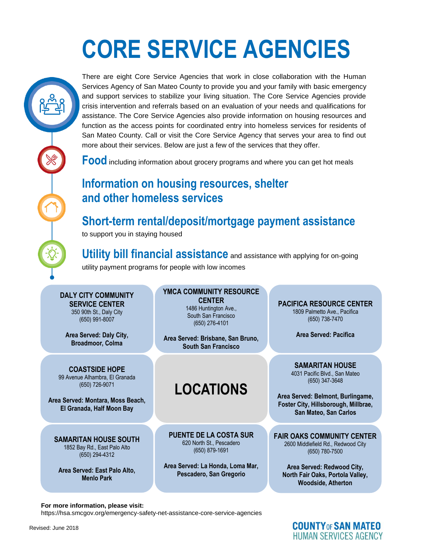# **CORE SERVICE AGENCIES**

There are eight Core Service Agencies that work in close collaboration with the Human Services Agency of San Mateo County to provide you and your family with basic emergency and support services to stabilize your living situation. The Core Service Agencies provide crisis intervention and referrals based on an evaluation of your needs and qualifications for assistance. The Core Service Agencies also provide information on housing resources and function as the access points for coordinated entry into homeless services for residents of San Mateo County. Call or visit the Core Service Agency that serves your area to find out more about their services. Below are just a few of the services that they offer.

**Food** including information about grocery programs and where you can get hot meals

### **Information on housing resources, shelter and other homeless services**

## **Short-term rental/deposit/mortgage payment assistance**

to support you in staying housed

**Utility bill financial assistance** and assistance with applying for on-going utility payment programs for people with low incomes

#### **DALY CITY COMMUNITY SERVICE CENTER** 350 90th St., Daly City

(650) 991-8007

**Area Served: Daly City, Broadmoor, Colma**

your needs and qualifications for assistance. The Core Service Agencies also also the Core Service Agencies als<br>(650) 347-3648 **COASTSIDE HOPE** (650) 726-9071

visit the Core Service Agency that serves your area to find out more about their **El Granada, Half Moon Bay Area Served: Montara, Moss Beach,** 

**I**<br> **Information on housing resources (650) 879-1691<br>
<b>I** (650) 294-4312 **SAMARITAN HOUSE SOUTH** 1852 Bay Rd., East Palo Alto (650) 294-4312

**Area Served: East Palo Alto, Menlo Park**

#### **YMCA COMMUNITY RESOURCE CENTER** 1486 Huntington Ave., South San Francisco

**There are area Served: Brisbane, San Bruno, and The Core Core Core Served: Facility**<br>admoor. Colma Human Services Agency of San Mateo County to provide you and you and you and you are the you and you are the you and you are the you and you are the you and you are the you and you are the you and you are the you and you a **South San Francisco**

(650) 276-4101

### provide information on housing resources and function as the access points for **LOCATIONS**

**FAIR OAKS COMMUNITY (PUENTE DE LA COSTA SUR GROOMS COMMUNITY CAN GET AND ARRIVE OF LA COSTA SUR** 620 North St., Pescadero (650) 879-1691

**and Served: La Honda, Loma Mar,** Pred: La Honda, Loma Mar, Predict La Honda, Loma Mar, Predict La Honda, Loma Mar, Predict La Honda, Loma Mar, Predict La Honda, Loma Mar, Predict La Honda, Loma Mar, Predict La Honda, Loma **Pescadero, San Gregorio** 

VICE CENTIER<br>
90th St., Daly City<br>
350) 991-8007<br>
350) 991-8007<br>
350) 991-8007<br>
350) 991-8007<br>
350) 991-8007<br>
350) 991-8007<br>
350) 991-8007<br>
3650) 276-4101 **PACIFICA RESOURCE CENTER** 1809 Palmetto Ave., Pacifica (650) 738-7470

**Area Served: Pacifica**

basic emergency and support support support support support services to stabilize your living situation. The Core STSIDE HOPE<br>
Agencies provide crisis intervention and referred on an evaluation of the crisis intervention and referred on<br>
Agencies provided by the crisis intervention of the crisis intervention of the crisis intervention **SAMARITAN HOUSE** (650) 347-3648

coordinated entry into home and **area Served: Belmont, Burlingame, Area Served: Belmont, Burlingame,**  $\overline{a}$ services. Below are just a few of the services that they offer. **Foster City, Hillsborough, Millbrae, San Mateo, San Carlos** 

> **FAIR OAKS COMMUNITY CENTER** 2600 Middlefield Rd., Redwood City (650) 780-7500

 $\mathcal{L}$  short-term rental/deposite payment assistance payment assistance payment assistance payment assistance payment assistance payment assistance payment assistance payment assistance payment assistance payment assista **Area Served: Redwood City, North Fair Oaks, Portola Valley, Woodside, Atherton**

**COUNTY OF SAN MATEO** 

**HUMAN SERVICES AGENCY** 

#### For more information, please visit:

<https://hsa.smcgov.org/emergency-safety-net-assistance-core-service-agencies>